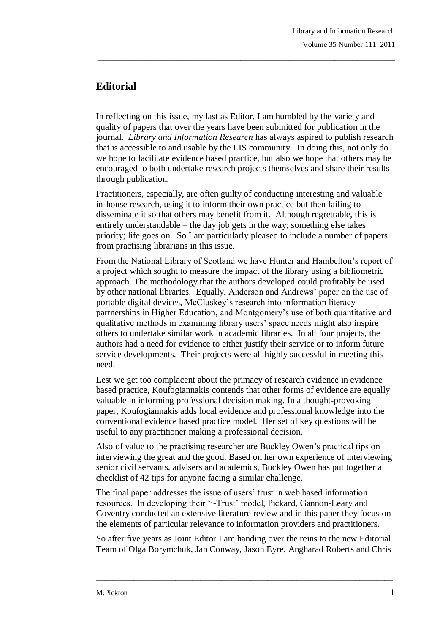## **Editorial**

In reflecting on this issue, my last as Editor, I am humbled by the variety and quality of papers that over the years have been submitted for publication in the journal. *Library and Information Research* has always aspired to publish research that is accessible to and usable by the LIS community. In doing this, not only do we hope to facilitate evidence based practice, but also we hope that others may be encouraged to both undertake research projects themselves and share their results through publication.

\_\_\_\_\_\_\_\_\_\_\_\_\_\_\_\_\_\_\_\_\_\_\_\_\_\_\_\_\_\_\_\_\_\_\_\_\_\_\_\_\_\_\_\_\_\_\_\_\_\_\_\_\_\_\_\_\_\_\_\_\_\_\_\_\_\_\_\_\_\_\_\_\_\_\_\_\_\_\_

Practitioners, especially, are often guilty of conducting interesting and valuable in-house research, using it to inform their own practice but then failing to disseminate it so that others may benefit from it. Although regrettable, this is entirely understandable – the day job gets in the way; something else takes priority; life goes on. So I am particularly pleased to include a number of papers from practising librarians in this issue.

From the National Library of Scotland we have Hunter and Hambelton's report of a project which sought to measure the impact of the library using a bibliometric approach. The methodology that the authors developed could profitably be used by other national libraries. Equally, Anderson and Andrews' paper on the use of portable digital devices, McCluskey's research into information literacy partnerships in Higher Education, and Montgomery's use of both quantitative and qualitative methods in examining library users' space needs might also inspire others to undertake similar work in academic libraries. In all four projects, the authors had a need for evidence to either justify their service or to inform future service developments. Their projects were all highly successful in meeting this need.

Lest we get too complacent about the primacy of research evidence in evidence based practice, Koufogiannakis contends that other forms of evidence are equally valuable in informing professional decision making. In a thought-provoking paper, Koufogiannakis adds local evidence and professional knowledge into the conventional evidence based practice model. Her set of key questions will be useful to any practitioner making a professional decision.

Also of value to the practising researcher are Buckley Owen's practical tips on interviewing the great and the good. Based on her own experience of interviewing senior civil servants, advisers and academics, Buckley Owen has put together a checklist of 42 tips for anyone facing a similar challenge.

The final paper addresses the issue of users' trust in web based information resources. In developing their 'i-Trust' model, Pickard, Gannon-Leary and Coventry conducted an extensive literature review and in this paper they focus on the elements of particular relevance to information providers and practitioners.

So after five years as Joint Editor I am handing over the reins to the new Editorial Team of Olga Borymchuk, Jan Conway, Jason Eyre, Angharad Roberts and Chris

 $\_$  ,  $\_$  ,  $\_$  ,  $\_$  ,  $\_$  ,  $\_$  ,  $\_$  ,  $\_$  ,  $\_$  ,  $\_$  ,  $\_$  ,  $\_$  ,  $\_$  ,  $\_$  ,  $\_$  ,  $\_$  ,  $\_$  ,  $\_$  ,  $\_$  ,  $\_$